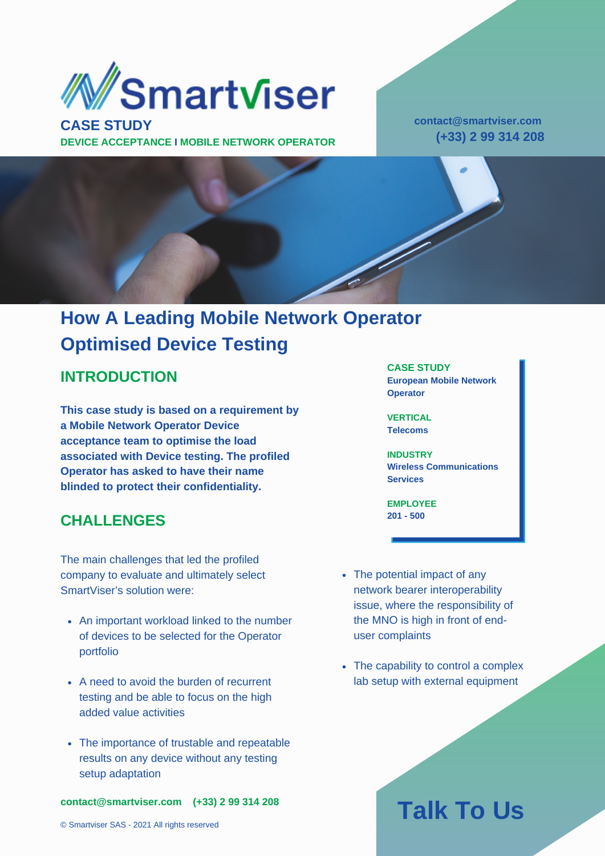

**DEVICE ACCEPTANCE I MOBILE NETWORK OPERATOR**

**contact@smartviser.com (+33) 2 99 314 208**



### **How A Leading Mobile Network Operator Optimised Device Testing**

#### **INTRODUCTION**

**This case study is based on a requirement by a Mobile Network Operator Device acceptance team to optimise the load associated with Device testing. The profiled Operator has asked to have their name blinded to protect their confidentiality.**

### **CHALLENGES**

The main challenges that led the profiled company to evaluate and ultimately select SmartViser's solution were:

- An important workload linked to the number of devices to be selected for the Operator portfolio
- A need to avoid the burden of recurrent testing and be able to focus on the high added value activities
- The importance of trustable and repeatable results on any device without any testing setup adaptation

**contact@smartviser.com (+33) 2 99 314 208**

© Smartviser SAS - 2021 All rights reserved

#### **CASE STUDY**

**European Mobile Network Operator**

**VERTICAL Telecoms**

**INDUSTRY Wireless Communications Services**

**EMPLOYEE 201 - 500**

- The potential impact of any network bearer interoperability issue, where the responsibility of the MNO is high in front of enduser complaints
- The capability to control a complex lab setup with external equipment

# **Talk To Us**